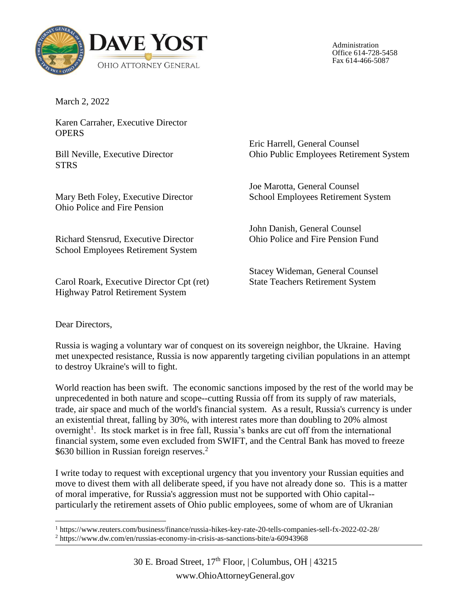

Administration Office 614-728-5458 Fax 614-466-5087

March 2, 2022

Karen Carraher, Executive Director **OPERS** 

Bill Neville, Executive Director STRS

Mary Beth Foley, Executive Director Ohio Police and Fire Pension

Richard Stensrud, Executive Director School Employees Retirement System

Carol Roark, Executive Director Cpt (ret) Highway Patrol Retirement System

Eric Harrell, General Counsel Ohio Public Employees Retirement System

Joe Marotta, General Counsel School Employees Retirement System

John Danish, General Counsel Ohio Police and Fire Pension Fund

Stacey Wideman, General Counsel State Teachers Retirement System

Dear Directors,

 $\overline{\phantom{a}}$ 

Russia is waging a voluntary war of conquest on its sovereign neighbor, the Ukraine. Having met unexpected resistance, Russia is now apparently targeting civilian populations in an attempt to destroy Ukraine's will to fight.

World reaction has been swift. The economic sanctions imposed by the rest of the world may be unprecedented in both nature and scope--cutting Russia off from its supply of raw materials, trade, air space and much of the world's financial system. As a result, Russia's currency is under an existential threat, falling by 30%, with interest rates more than doubling to 20% almost overnight<sup>1</sup>. Its stock market is in free fall, Russia's banks are cut off from the international financial system, some even excluded from SWIFT, and the Central Bank has moved to freeze \$630 billion in Russian foreign reserves.<sup>2</sup>

I write today to request with exceptional urgency that you inventory your Russian equities and move to divest them with all deliberate speed, if you have not already done so. This is a matter of moral imperative, for Russia's aggression must not be supported with Ohio capital- particularly the retirement assets of Ohio public employees, some of whom are of Ukranian

<sup>1</sup> https://www.reuters.com/business/finance/russia-hikes-key-rate-20-tells-companies-sell-fx-2022-02-28/

<sup>2</sup> https://www.dw.com/en/russias-economy-in-crisis-as-sanctions-bite/a-60943968